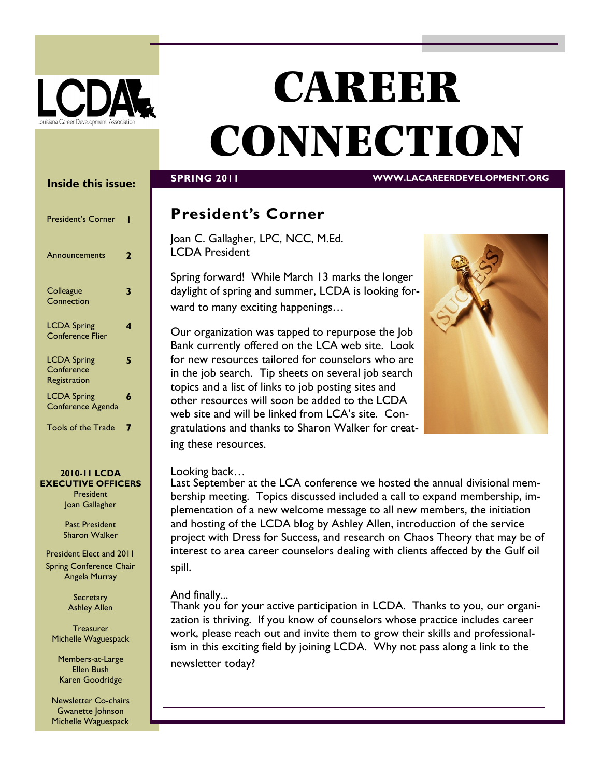

# **CAREER CONNECTION**

## **Inside this issue:**

| <b>President's Corner</b>                        |   |
|--------------------------------------------------|---|
| Announcements                                    | 7 |
| Colleague<br>Connection                          | 3 |
| <b>LCDA Spring</b><br><b>Conference Flier</b>    | 4 |
| <b>LCDA Spring</b><br>Conference<br>Registration | 5 |
| <b>LCDA Spring</b><br>Conference Agenda          | 6 |
| <b>Tools of the Trade</b>                        |   |

#### **2010-11 LCDA EXECUTIVE OFFICERS**

**President** Joan Gallagher

Past President Sharon Walker

President Elect and 2011 Spring Conference Chair Angela Murray

> **Secretary** Ashley Allen

**Treasurer** Michelle Waguespack

Members-at-Large Ellen Bush Karen Goodridge

Newsletter Co-chairs Gwanette Johnson Michelle Waguespack

## **SPRING 2011 WWW.LACAREERDEVELOPMENT.ORG**

# **President's Corner**

Joan C. Gallagher, LPC, NCC, M.Ed. LCDA President

Spring forward! While March 13 marks the longer daylight of spring and summer, LCDA is looking forward to many exciting happenings…

Our organization was tapped to repurpose the Job Bank currently offered on the LCA web site. Look for new resources tailored for counselors who are in the job search. Tip sheets on several job search topics and a list of links to job posting sites and other resources will soon be added to the LCDA web site and will be linked from LCA's site. Congratulations and thanks to Sharon Walker for creating these resources.



## Looking back…

Last September at the LCA conference we hosted the annual divisional membership meeting. Topics discussed included a call to expand membership, implementation of a new welcome message to all new members, the initiation and hosting of the LCDA blog by Ashley Allen, introduction of the service project with Dress for Success, and research on Chaos Theory that may be of interest to area career counselors dealing with clients affected by the Gulf oil spill.

## And finally...

Thank you for your active participation in LCDA. Thanks to you, our organization is thriving. If you know of counselors whose practice includes career work, please reach out and invite them to grow their skills and professionalism in this exciting field by joining LCDA. Why not pass along a link to the newsletter today?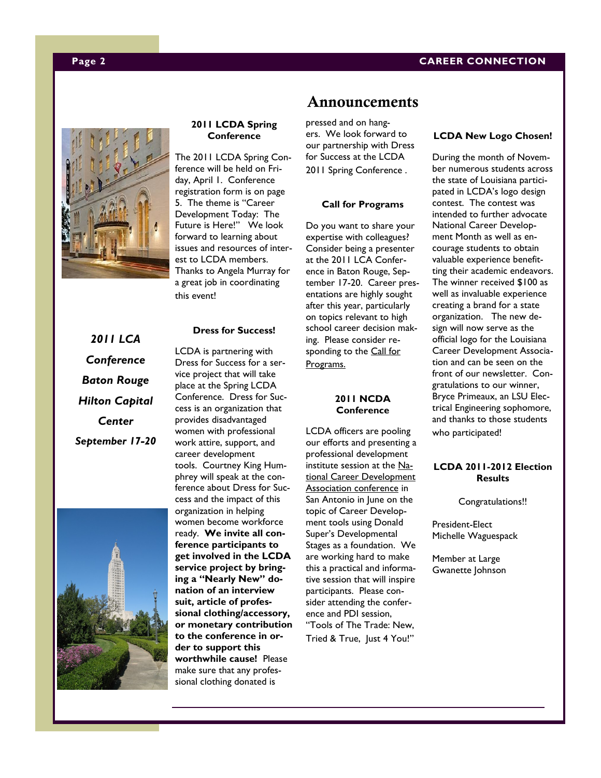#### **Page 2 CAREER CONNECTION**



#### **2011 LCDA Spring Conference**

The 2011 LCDA Spring Conference will be held on Friday, April 1. Conference registration form is on page 5. The theme is "Career Development Today: The Future is Here!" We look forward to learning about issues and resources of interest to LCDA members. Thanks to Angela Murray for a great job in coordinating this event!

#### **Dress for Success!**

*2011 LCA Conference Baton Rouge Hilton Capital Center September 17-20*



LCDA is partnering with Dress for Success for a service project that will take place at the Spring LCDA Conference. Dress for Success is an organization that provides disadvantaged women with professional work attire, support, and career development tools. Courtney King Humphrey will speak at the conference about Dress for Success and the impact of this organization in helping women become workforce ready. **We invite all conference participants to get involved in the LCDA service project by bringing a "Nearly New" donation of an interview suit, article of professional clothing/accessory, or monetary contribution to the conference in order to support this worthwhile cause!** Please make sure that any professional clothing donated is

## **Announcements**

pressed and on hangers. We look forward to our partnership with Dress for Success at the LCDA 2011 Spring Conference .

#### **Call for Programs**

Do you want to share your expertise with colleagues? Consider being a presenter at the 2011 LCA Conference in Baton Rouge, September 17-20. Career presentations are highly sought after this year, particularly on topics relevant to high school career decision making. Please consider responding to the Call for [Programs.](http://www.lacounseling.org/index.php?option=com_content&view=article&id=394&Itemid=291)

#### **2011 NCDA Conference**

LCDA officers are pooling our efforts and presenting a professional development institute session at the [Na](http://www.associationdatabase.com/aws/NCDA/pt/sp/conference_info)[tional Career Development](http://www.associationdatabase.com/aws/NCDA/pt/sp/conference_info)  [Association conference](http://www.associationdatabase.com/aws/NCDA/pt/sp/conference_info) in San Antonio in June on the topic of Career Development tools using Donald Super's Developmental Stages as a foundation. We are working hard to make this a practical and informative session that will inspire participants. Please consider attending the conference and PDI session, "Tools of The Trade: New,

Tried & True, Just 4 You!"

#### **LCDA New Logo Chosen!**

During the month of November numerous students across the state of Louisiana participated in LCDA's logo design contest. The contest was intended to further advocate National Career Development Month as well as encourage students to obtain valuable experience benefitting their academic endeavors. The winner received \$100 as well as invaluable experience creating a brand for a state organization. The new design will now serve as the official logo for the Louisiana Career Development Association and can be seen on the front of our newsletter. Congratulations to our winner, Bryce Primeaux, an LSU Electrical Engineering sophomore, and thanks to those students who participated!

#### **LCDA 2011-2012 Election Results**

Congratulations!!

President-Elect Michelle Waguespack

Member at Large Gwanette Johnson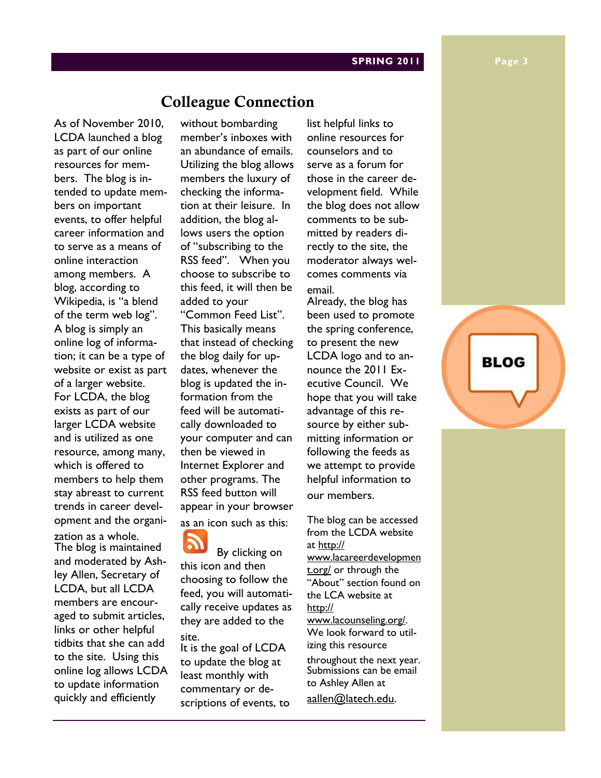#### **SPRING 2011 Page 3**

# **Colleague Connection**

As of November 2010, LCDA launched a blog as part of our online resources for members. The blog is intended to update members on important events, to offer helpful career information and to serve as a means of online interaction among members. A blog, according to Wikipedia, is "a blend of the term web log". A blog is simply an online log of information; it can be a type of website or exist as part of a larger website. For LCDA, the blog exists as part of our larger LCDA website and is utilized as one resource, among many, which is offered to members to help them stay abreast to current trends in career development and the organi-

zation as a whole. The blog is maintained and moderated by Ashley Allen, Secretary of LCDA, but all LCDA members are encouraged to submit articles, links or other helpful tidbits that she can add to the site. Using this online log allows LCDA to update information quickly and efficiently

without bombarding member's inboxes with an abundance of emails. Utilizing the blog allows members the luxury of checking the information at their leisure. In addition, the blog allows users the option of "subscribing to the RSS feed". When you choose to subscribe to this feed, it will then be added to your "Common Feed List". This basically means that instead of checking the blog daily for updates, whenever the blog is updated the information from the feed will be automatically downloaded to your computer and can then be viewed in Internet Explorer and other programs. The RSS feed button will appear in your browser as an icon such as this:

 By clicking on this icon and then choosing to follow the feed, you will automatically receive updates as they are added to the site.

It is the goal of LCDA to update the blog at least monthly with commentary or descriptions of events, to list helpful links to online resources for counselors and to serve as a forum for those in the career development field. While the blog does not allow comments to be submitted by readers directly to the site, the moderator always welcomes comments via email.

Already, the blog has been used to promote the spring conference, to present the new LCDA logo and to announce the 2011 Executive Council. We hope that you will take advantage of this resource by either submitting information or following the feeds as we attempt to provide helpful information to our members.

The blog can be accessed from the LCDA website at [http://](http://www.lacareerdevelopment.org/) [www.lacareerdevelopmen](http://www.lacareerdevelopment.org/) [t.org/](http://www.lacareerdevelopment.org/) or through the "About" section found on the LCA website at [http://](http://www.lacounseling.org/) [www.lacounseling.org/.](http://www.lacounseling.org/)  We look forward to utilizing this resource throughout the next year. Submissions can be email to Ashley Allen at [aallen@latech.edu.](mailto:aallen@latech.edu)

**BLOG**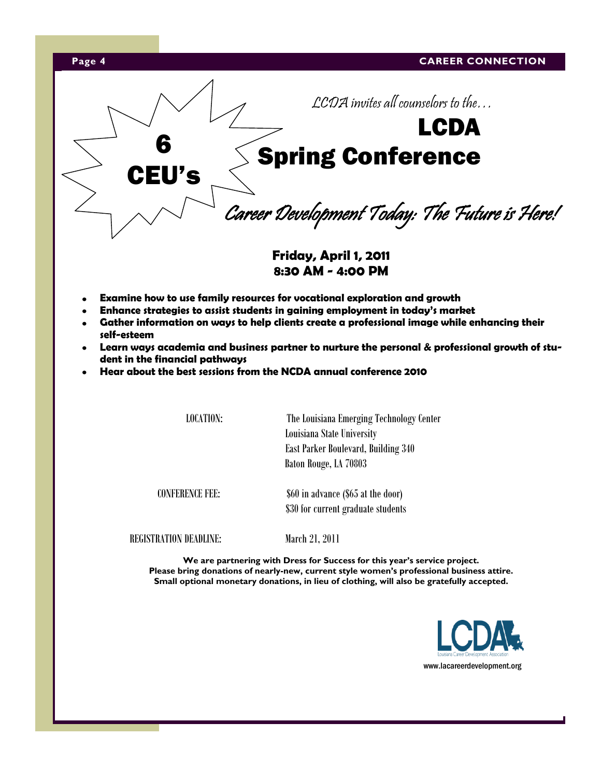



**Friday, April 1, 2011 8:30 AM - 4:00 PM**

- **Examine how to use family resources for vocational exploration and growth**
- **Enhance strategies to assist students in gaining employment in today's market**
- **Gather information on ways to help clients create a professional image while enhancing their self-esteem**
- **Learn ways academia and business partner to nurture the personal & professional growth of student in the financial pathways**
- **Hear about the best sessions from the NCDA annual conference 2010**

LOCATION: The Louisiana Emerging Technology Center Louisiana State University East Parker Boulevard, Building 340 Baton Rouge, LA 70803

 CONFERENCE FEE: \$60 in advance (\$65 at the door) \$30 for current graduate students

REGISTRATION DEADLINE: March 21, 2011

**We are partnering with Dress for Success for this year's service project. Please bring donations of nearly-new, current style women's professional business attire. Small optional monetary donations, in lieu of clothing, will also be gratefully accepted.**

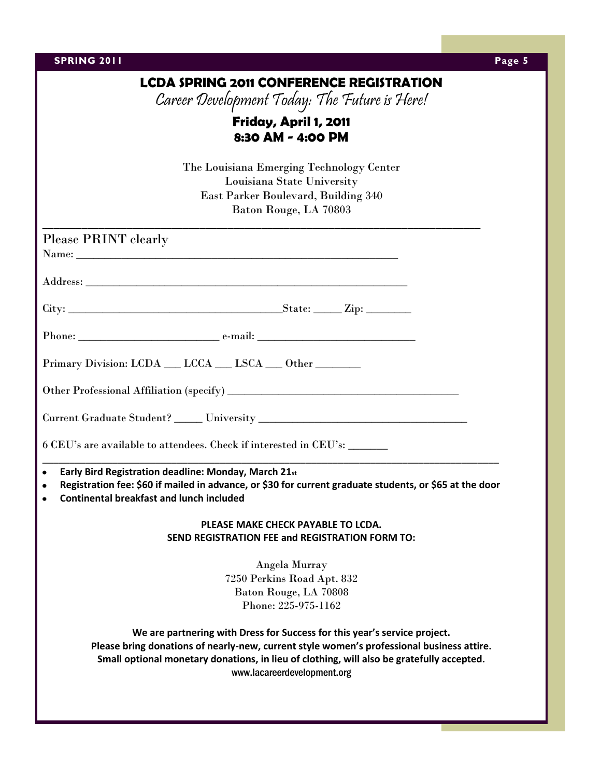| <b>SPRING 2011</b>                                                                                                                                                                                                                           | Page 5 |
|----------------------------------------------------------------------------------------------------------------------------------------------------------------------------------------------------------------------------------------------|--------|
| <b>LCDA SPRING 2011 CONFERENCE REGISTRATION</b>                                                                                                                                                                                              |        |
| Career Development Today: The Future is Here!                                                                                                                                                                                                |        |
| Friday, April 1, 2011                                                                                                                                                                                                                        |        |
| 8:30 AM - 4:00 PM                                                                                                                                                                                                                            |        |
|                                                                                                                                                                                                                                              |        |
| The Louisiana Emerging Technology Center<br>Louisiana State University                                                                                                                                                                       |        |
| East Parker Boulevard, Building 340                                                                                                                                                                                                          |        |
| Baton Rouge, LA 70803                                                                                                                                                                                                                        |        |
|                                                                                                                                                                                                                                              |        |
| Please PRINT clearly                                                                                                                                                                                                                         |        |
|                                                                                                                                                                                                                                              |        |
|                                                                                                                                                                                                                                              |        |
|                                                                                                                                                                                                                                              |        |
| Phone: e-mail: e-mail:                                                                                                                                                                                                                       |        |
| Primary Division: LCDA __ LCCA __ LSCA __ Other ______                                                                                                                                                                                       |        |
|                                                                                                                                                                                                                                              |        |
|                                                                                                                                                                                                                                              |        |
|                                                                                                                                                                                                                                              |        |
| 6 CEU's are available to attendees. Check if interested in CEU's: _______                                                                                                                                                                    |        |
| Early Bird Registration deadline: Monday, March 21st<br>$\bullet$<br>Registration fee: \$60 if mailed in advance, or \$30 for current graduate students, or \$65 at the door<br>$\bullet$<br><b>Continental breakfast and lunch included</b> |        |
|                                                                                                                                                                                                                                              |        |
| PLEASE MAKE CHECK PAYABLE TO LCDA.                                                                                                                                                                                                           |        |
| <b>SEND REGISTRATION FEE and REGISTRATION FORM TO:</b>                                                                                                                                                                                       |        |
| Angela Murray                                                                                                                                                                                                                                |        |
| 7250 Perkins Road Apt. 832                                                                                                                                                                                                                   |        |
| Baton Rouge, LA 70808                                                                                                                                                                                                                        |        |
| Phone: 225-975-1162                                                                                                                                                                                                                          |        |
| We are partnering with Dress for Success for this year's service project.                                                                                                                                                                    |        |
| Please bring donations of nearly-new, current style women's professional business attire.                                                                                                                                                    |        |
| Small optional monetary donations, in lieu of clothing, will also be gratefully accepted.                                                                                                                                                    |        |
| www.lacareerdevelopment.org                                                                                                                                                                                                                  |        |
|                                                                                                                                                                                                                                              |        |
|                                                                                                                                                                                                                                              |        |
|                                                                                                                                                                                                                                              |        |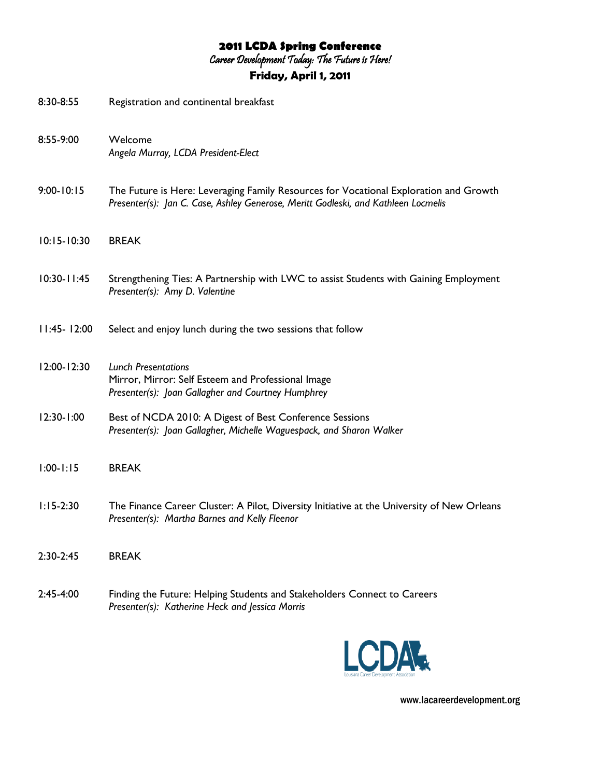# **2011 LCDA Spring Conference**

Career Development Today: The Future is Here!

# **Friday, April 1, 2011**

| 8:30-8:55       | Registration and continental breakfast                                                                                                                                      |
|-----------------|-----------------------------------------------------------------------------------------------------------------------------------------------------------------------------|
| 8:55-9:00       | Welcome<br>Angela Murray, LCDA President-Elect                                                                                                                              |
| $9:00 - 10:15$  | The Future is Here: Leveraging Family Resources for Vocational Exploration and Growth<br>Presenter(s): Jan C. Case, Ashley Generose, Meritt Godleski, and Kathleen Locmelis |
| $10:15 - 10:30$ | <b>BREAK</b>                                                                                                                                                                |
| $10:30 - 11:45$ | Strengthening Ties: A Partnership with LWC to assist Students with Gaining Employment<br>Presenter(s): Amy D. Valentine                                                     |
| $11:45 - 12:00$ | Select and enjoy lunch during the two sessions that follow                                                                                                                  |
| 12:00-12:30     | <b>Lunch Presentations</b><br>Mirror, Mirror: Self Esteem and Professional Image<br>Presenter(s): Joan Gallagher and Courtney Humphrey                                      |
| $12:30 - 1:00$  | Best of NCDA 2010: A Digest of Best Conference Sessions<br>Presenter(s): Joan Gallagher, Michelle Waguespack, and Sharon Walker                                             |
| $1:00 - 1:15$   | <b>BREAK</b>                                                                                                                                                                |
| $1:15-2:30$     | The Finance Career Cluster: A Pilot, Diversity Initiative at the University of New Orleans<br>Presenter(s): Martha Barnes and Kelly Fleenor                                 |
| $2:30-2:45$     | <b>BREAK</b>                                                                                                                                                                |
| $2:45-4:00$     | Finding the Future: Helping Students and Stakeholders Connect to Careers<br>Presenter(s): Katherine Heck and Jessica Morris                                                 |



www.lacareerdevelopment.org